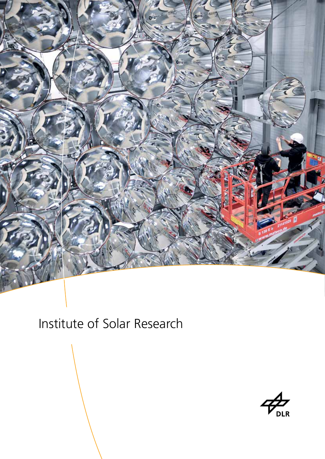

# Institute of Solar Research

**DLR**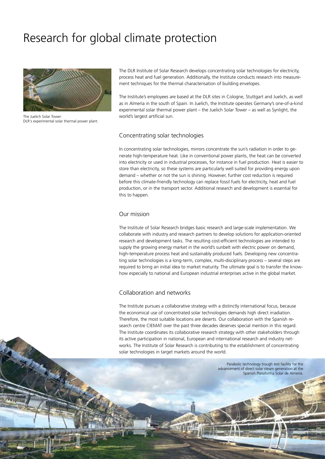# Research for global climate protection



The Juelich Solar Tower: DLR's experimental solar thermal power plant.

2

The DLR Institute of Solar Research develops concentrating solar technologies for electricity, process heat and fuel generation. Additionally, the Institute conducts research into measurement techniques for the thermal characterisation of building envelopes.

The Institute's employees are based at the DLR sites in Cologne, Stuttgart and Juelich, as well as in Almería in the south of Spain. In Juelich, the Institute operates Germany's one-of-a-kind experimental solar thermal power plant – the Juelich Solar Tower – as well as Synlight, the world's largest artificial sun.

### Concentrating solar technologies

In concentrating solar technologies, mirrors concentrate the sun's radiation in order to generate high-temperature heat. Like in conventional power plants, the heat can be converted into electricity or used in industrial processes, for instance in fuel production. Heat is easier to store than electricity, so these systems are particularly well suited for providing energy upon demand – whether or not the sun is shining. However, further cost reduction is required before this climate-friendly technology can replace fossil fuels for electricity, heat and fuel production, or in the transport sector. Additional research and development is essential for this to happen.

### Our mission

The Institute of Solar Research bridges basic research and large-scale implementation. We collaborate with industry and research partners to develop solutions for application-oriented research and development tasks. The resulting cost-efficient technologies are intended to supply the growing energy market in the world's sunbelt with electric power on demand, high-temperature process heat and sustainably produced fuels. Developing new concentrating solar technologies is a long-term, complex, multi-disciplinary process – several steps are required to bring an initial idea to market maturity. The ultimate goal is to transfer the knowhow especially to national and European industrial enterprises active in the global market.

#### Collaboration and networks

The Institute pursues a collaborative strategy with a distinctly international focus, because the economical use of concentrated solar technologies demands high direct irradiation. Therefore, the most suitable locations are deserts. Our collaboration with the Spanish research centre CIEMAT over the past three decades deserves special mention in this regard. The Institute coordinates its collaborative research strategy with other stakeholders through its active participation in national, European and international research and industry networks. The Institute of Solar Research is contributing to the establishment of concentrating solar technologies in target markets around the world.

> Parabolic technology trough test facility for the advancement of direct solar steam generation at the Spanish Plataforma Solar de Almería.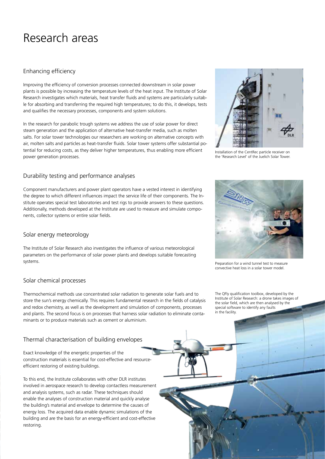## Research areas

## Enhancing efficiency

Improving the efficiency of conversion processes connected downstream in solar power plants is possible by increasing the temperature levels of the heat input. The Institute of Solar Research investigates which materials, heat transfer fluids and systems are particularly suitable for absorbing and transferring the required high temperatures; to do this, it develops, tests and qualifies the necessary processes, components and system solutions.

In the research for parabolic trough systems we address the use of solar power for direct steam generation and the application of alternative heat-transfer media, such as molten salts. For solar tower technologies our researchers are working on alternative concepts with air, molten salts and particles as heat-transfer fluids. Solar tower systems offer substantial potential for reducing costs, as they deliver higher temperatures, thus enabling more efficient power generation processes.

## Durability testing and performance analyses

Component manufacturers and power plant operators have a vested interest in identifying the degree to which different influences impact the service life of their components. The Institute operates special test laboratories and test rigs to provide answers to these questions. Additionally, methods developed at the Institute are used to measure and simulate components, collector systems or entire solar fields.

## Solar energy meteorology

The Institute of Solar Research also investigates the influence of various meteorological parameters on the performance of solar power plants and develops suitable forecasting systems.

## Solar chemical processes

Thermochemical methods use concentrated solar radiation to generate solar fuels and to store the sun's energy chemically. This requires fundamental research in the fields of catalysis and redox chemistry, as well as the development and simulation of components, processes and plants. The second focus is on processes that harness solar radiation to eliminate contaminants or to produce materials such as cement or aluminium.

## Thermal characterisation of building envelopes

Exact knowledge of the energetic properties of the construction materials is essential for cost-effective and resourceefficient restoring of existing buildings.

To this end, the Institute collaborates with other DLR institutes involved in aerospace research to develop contactless measurement and analysis systems, such as radar. These techniques should enable the analyses of construction material and quickly analyse the building's material and envelope to determine the causes of energy loss. The acquired data enable dynamic simulations of the building and are the basis for an energy-efficient and cost-effective restoring.



Installation of the CentRec particle receiver on the 'Research Level' of the Juelich Solar Tower.



Preparation for a wind tunnel test to measure convective heat loss in a solar tower model.

The QFly qualification toolbox, developed by the Institute of Solar Research: a drone takes images of the solar field, which are then analysed by the special software to identify any faults in the facility.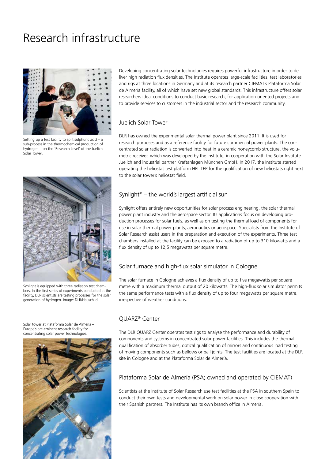# Research infrastructure



Setting up a test facility to split sulphuric acid – a sub-process in the thermochemical production of hydrogen – on the 'Research Level' of the Juelich Solar Tower.



Synlight is equipped with three radiation test chambers. In the first series of experiments conducted at the facility, DLR scientists are testing processes for the solar generation of hydrogen. Image: DLR/Hauschild

Solar tower at Plataforma Solar de Almería – Europe's pre-eminent research facility for concentrating solar power technologies.



Developing concentrating solar technologies requires powerful infrastructure in order to deliver high radiation flux densities. The Institute operates large-scale facilities, test laboratories and rigs at three locations in Germany and at its research partner CIEMAT's Plataforma Solar de Almería facility, all of which have set new global standards. This infrastructure offers solar researchers ideal conditions to conduct basic research, for application-oriented projects and to provide services to customers in the industrial sector and the research community.

### Juelich Solar Tower

DLR has owned the experimental solar thermal power plant since 2011. It is used for research purposes and as a reference facility for future commercial power plants. The concentrated solar radiation is converted into heat in a ceramic honeycomb structure, the volumetric receiver, which was developed by the Institute, in cooperation with the Solar Institute Juelich and industrial partner Kraftanlagen München GmbH. In 2017, the Institute started operating the heliostat test platform HELITEP for the qualification of new heliostats right next to the solar tower's heliostat field.

### Synlight<sup>®</sup> – the world's largest artificial sun

Synlight offers entirely new opportunities for solar process engineering, the solar thermal power plant industry and the aerospace sector. Its applications focus on developing production processes for solar fuels, as well as on testing the thermal load of components for use in solar thermal power plants, aeronautics or aerospace. Specialists from the Institute of Solar Research assist users in the preparation and execution of the experiments. Three test chambers installed at the facility can be exposed to a radiation of up to 310 kilowatts and a flux density of up to 12,5 megawatts per square metre.

### Solar furnace and high-flux solar simulator in Cologne

The solar furnace in Cologne achieves a flux density of up to five megawatts per square metre with a maximum thermal output of 20 kilowatts. The high-flux solar simulator permits the same performance tests with a flux density of up to four megawatts per square metre, irrespective of weather conditions.

## QUARZ® Center

The DLR QUARZ Center operates test rigs to analyse the performance and durability of components and systems in concentrated solar power facilities. This includes the thermal qualification of absorber tubes, optical qualification of mirrors and continuous load testing of moving components such as bellows or ball joints. The test facilities are located at the DLR site in Cologne and at the Plataforma Solar de Almería.

#### Plataforma Solar de Almería (PSA; owned and operated by CIEMAT)

Scientists at the Institute of Solar Research use test facilities at the PSA in southern Spain to conduct their own tests and developmental work on solar power in close cooperation with their Spanish partners. The Institute has its own branch office in Almería.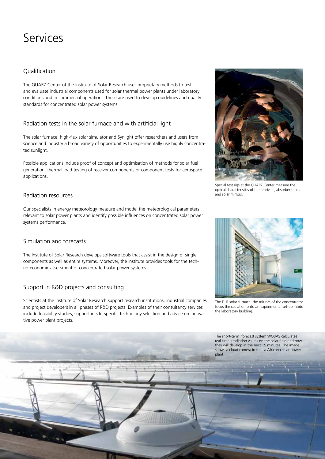## Services

## **Oualification**

The QUARZ Center of the Institute of Solar Research uses proprietary methods to test and evaluate industrial components used for solar thermal power plants under laboratory conditions and in commercial operation. These are used to develop guidelines and quality standards for concentrated solar power systems.

## Radiation tests in the solar furnace and with artificial light

The solar furnace, high-flux solar simulator and Synlight offer researchers and users from science and industry a broad variety of opportunities to experimentally use highly concentrated sunlight.

Possible applications include proof of concept and optimisation of methods for solar fuel generation, thermal load testing of receiver components or component tests for aerospace applications.

## Radiation resources

Our specialists in energy meteorology measure and model the meteorological parameters relevant to solar power plants and identify possible influences on concentrated solar power systems performance.

## Simulation and forecasts

The Institute of Solar Research develops software tools that assist in the design of single components as well as entire systems. Moreover, the institute provides tools for the techno-economic assessment of concentrated solar power systems.

## Support in R&D projects and consulting

Scientists at the Institute of Solar Research support research institutions, industrial companies and project developers in all phases of R&D projects. Examples of their consultancy services include feasibility studies, support in site-specific technology selection and advice on innovative power plant projects.



Special test rigs at the QUARZ Center measure the optical characteristics of the receivers, absorber tubes and solar mirrors.



The DLR solar furnace: the mirrors of the concentrator focus the radiation onto an experimental set-up inside the laboratory building.

The short-term forecast system WOBAS calculates real-time irradiation values on the solar field and how plant.

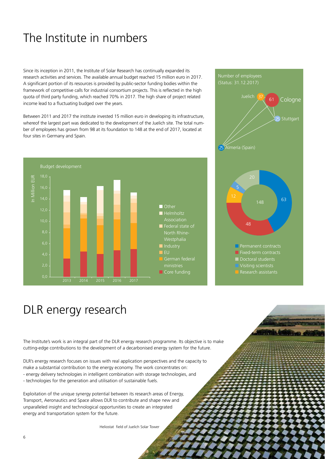# The Institute in numbers

Since its inception in 2011, the Institute of Solar Research has continually expanded its research activities and services. The available annual budget reached 15 million euro in 2017. A significant portion of its resources is provided by public-sector funding bodies within the framework of competitive calls for industrial consortium projects. This is reflected in the high quota of third party funding, which reached 70% in 2017. The high share of project related income lead to a fluctuating budged over the years.

Between 2011 and 2017 the institute invested 15 million euro in developing its infrastructure, whereof the largest part was dedicated to the development of the Juelich site. The total number of employees has grown from 98 at its foundation to 148 at the end of 2017, located at four sites in Germany and Spain.



# Number of employees (Status: 31.12.2017) Juelich 37 61 Cologne **Stuttgart** 25 Almería (Spain) 61 25 48 5 148 63  $\blacksquare$  Permanent contracts  $\blacksquare$  Fixed-term contracts Doctoral students n Research assistants

## DLR energy research

The Institute's work is an integral part of the DLR energy research programme. Its objective is to make cutting-edge contributions to the development of a decarbonised energy system for the future.

DLR's energy research focuses on issues with real application perspectives and the capacity to make a substantial contribution to the energy economy. The work concentrates on: - energy delivery technologies in intelligent combination with storage technologies, and

- technologies for the generation and utilisation of sustainable fuels.

Exploitation of the unique synergy potential between its research areas of Energy, Transport, Aeronautics and Space allows DLR to contribute and shape new and unparalleled insight and technological opportunities to create an integrated energy and transportation system for the future.

Heliostat field of Juelich Solar Tower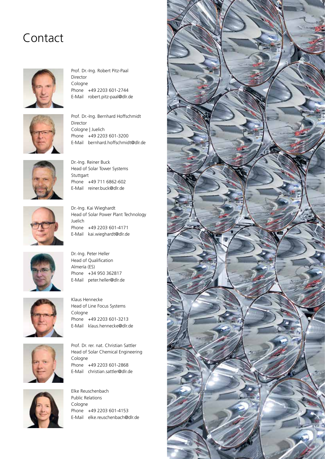## Contact



Prof. Dr.-Ing. Robert Pitz-Paal Director Cologne Phone +49 2203 601-2744 E-Mail robert.pitz-paal@dlr.de



Prof. Dr.-Ing. Bernhard Hoffschmidt Director Cologne | Juelich Phone +49 2203 601-3200 E-Mail bernhard.hoffschmidt@dlr.de



Dr.-Ing. Reiner Buck Head of Solar Tower Systems Stuttgart Phone +49 711 6862-602 E-Mail reiner.buck@dlr.de



Dr.-Ing. Kai Wieghardt Head of Solar Power Plant Technology Juelich Phone +49 2203 601-4171 E-Mail kai.wieghardt@dlr.de



Dr.-Ing. Peter Heller Head of Qualification Almería (ES) Phone +34 950 362817 E-Mail peter.heller@dlr.de



Klaus Hennecke Head of Line Focus Systems Cologne Phone +49 2203 601-3213 E-Mail klaus.hennecke@dlr.de



Prof. Dr. rer. nat. Christian Sattler Head of Solar Chemical Engineering Cologne Phone +49 2203 601-2868 E-Mail christian.sattler@dlr.de



Elke Reuschenbach Public Relations Cologne Phone +49 2203 601-4153 E-Mail elke.reuschenbach@dlr.de